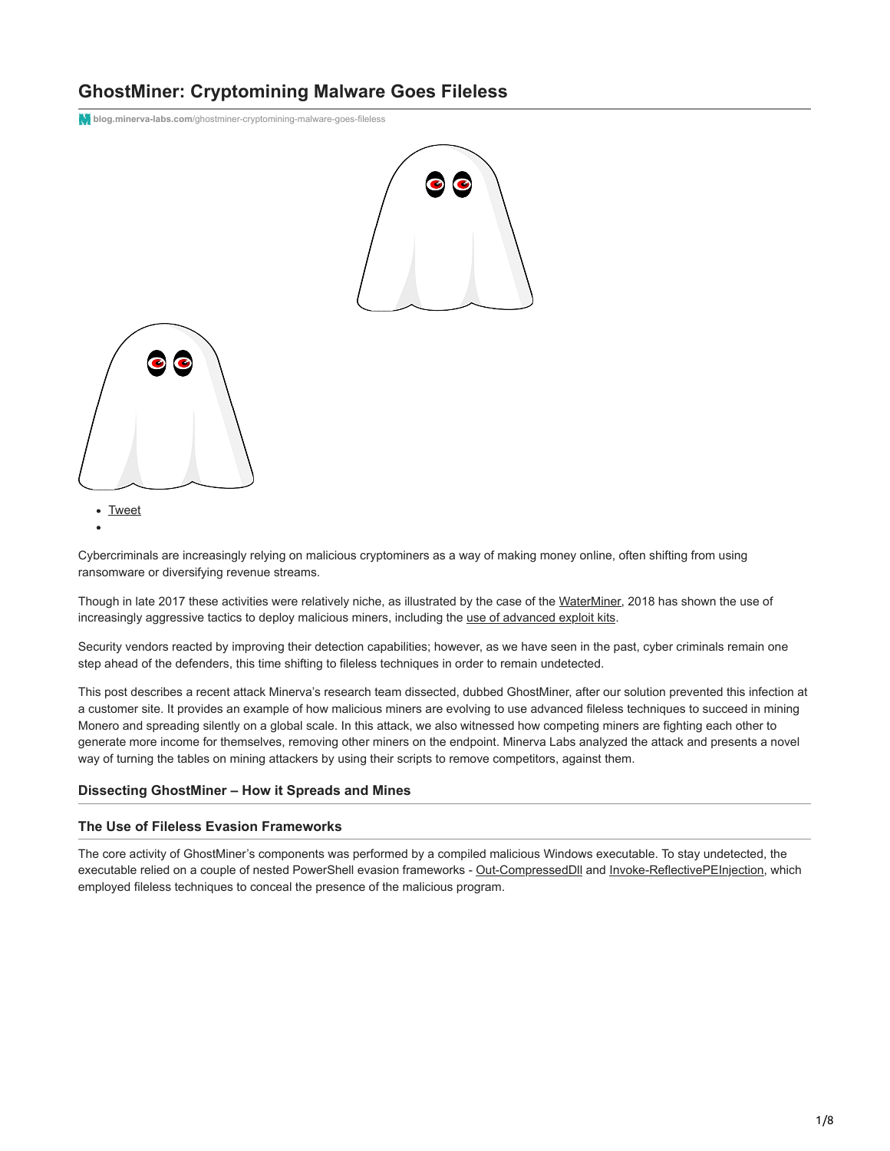# **GhostMiner: Cryptomining Malware Goes Fileless**

**blog.minerva-labs.com**[/ghostminer-cryptomining-malware-goes-fileless](https://blog.minerva-labs.com/ghostminer-cryptomining-malware-goes-fileless)





• [Tweet](https://twitter.com/share)

Cybercriminals are increasingly relying on malicious cryptominers as a way of making money online, often shifting from using ransomware or diversifying revenue streams.

Though in late 2017 these activities were relatively niche, as illustrated by the case of the [WaterMiner,](https://blog.minerva-labs.com/waterminer-a-new-evasive-crypto-miner?hsLang=en-us) 2018 has shown the use of increasingly aggressive tactics to deploy malicious miners, including the [use of advanced exploit kits](https://blog.malwarebytes.com/threat-analysis/2018/01/rig-exploit-kit-campaign-gets-deep-into-crypto-craze/).

Security vendors reacted by improving their detection capabilities; however, as we have seen in the past, cyber criminals remain one step ahead of the defenders, this time shifting to fileless techniques in order to remain undetected.

This post describes a recent attack Minerva's research team dissected, dubbed GhostMiner, after our solution prevented this infection at a customer site. It provides an example of how malicious miners are evolving to use advanced fileless techniques to succeed in mining Monero and spreading silently on a global scale. In this attack, we also witnessed how competing miners are fighting each other to generate more income for themselves, removing other miners on the endpoint. Minerva Labs analyzed the attack and presents a novel way of turning the tables on mining attackers by using their scripts to remove competitors, against them.

### **Dissecting GhostMiner – How it Spreads and Mines**

## **The Use of Fileless Evasion Frameworks**

The core activity of GhostMiner's components was performed by a compiled malicious Windows executable. To stay undetected, the executable relied on a couple of nested PowerShell evasion frameworks - [Out-CompressedDll](https://github.com/PowerShellMafia/PowerSploit/blob/master/ScriptModification/Out-CompressedDll.ps1) and [Invoke-ReflectivePEInjection,](https://github.com/PowerShellMafia/PowerSploit/blob/master/CodeExecution/Invoke-ReflectivePEInjection.ps1) which employed fileless techniques to conceal the presence of the malicious program.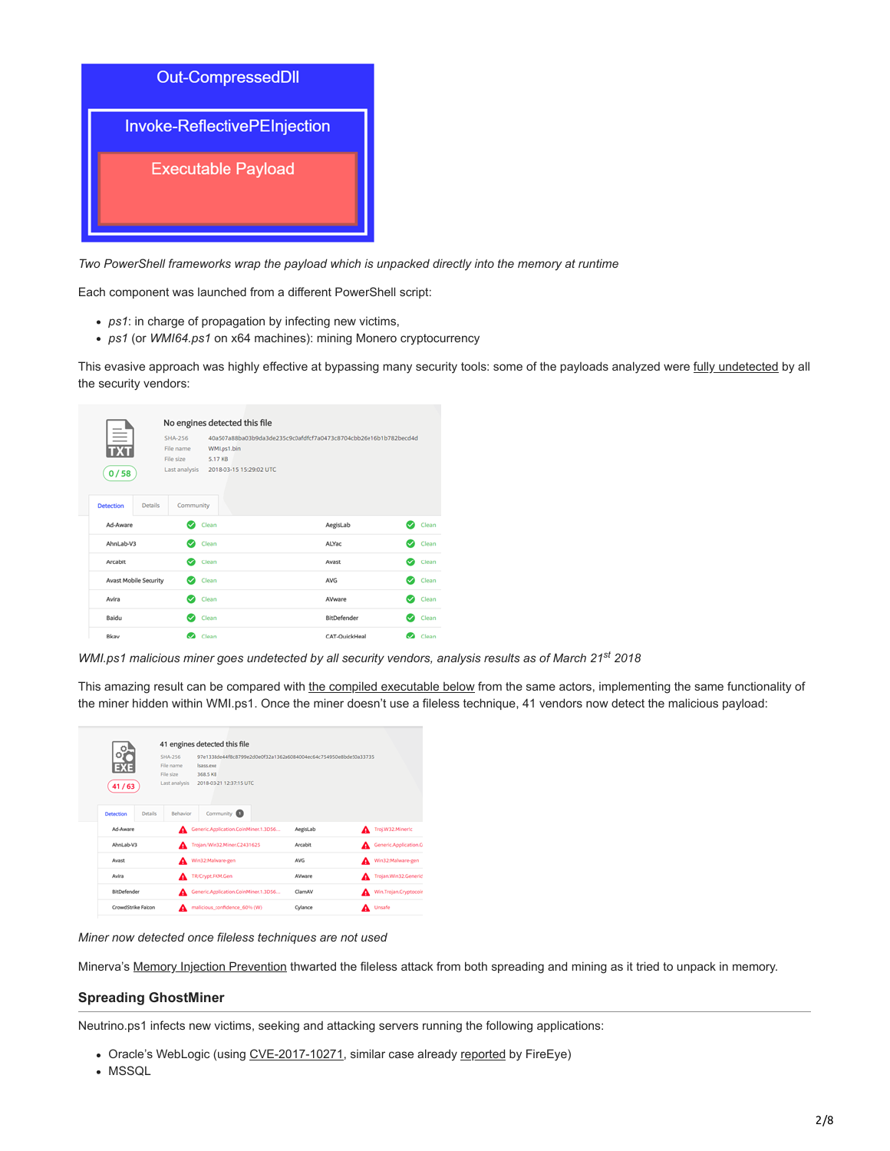

*Two PowerShell frameworks wrap the payload which is unpacked directly into the memory at runtime*

Each component was launched from a different PowerShell script:

- *ps1*: in charge of propagation by infecting new victims,
- *ps1* (or *WMI64.ps1* on x64 machines): mining Monero cryptocurrency

This evasive approach was highly effective at bypassing many security tools: some of the payloads analyzed were [fully undetected](https://www.virustotal.com/#/file/40a507a88ba03b9da3de235c9c0afdfcf7a0473c8704cbb26e16b1b782becd4d/detection) by all the security vendors:

|  |                                    | No engines detected this file                             |                                                   |                                                                  |                                |  |  |  |  |
|--|------------------------------------|-----------------------------------------------------------|---------------------------------------------------|------------------------------------------------------------------|--------------------------------|--|--|--|--|
|  | ≡<br>0/58                          | <b>SHA-256</b><br>File name<br>File size<br>Last analysis | WMI.ps1.bin<br>5.17 KB<br>2018-03-15 15:29:02 UTC | 40a507a88ba03b9da3de235c9c0afdfcf7a0473c8704cbb26e16b1b782becd4d |                                |  |  |  |  |
|  | <b>Details</b><br><b>Detection</b> | Community                                                 |                                                   |                                                                  |                                |  |  |  |  |
|  | Ad-Aware                           |                                                           | Clean                                             | AegisLab                                                         | Clean<br>$\tilde{\phantom{a}}$ |  |  |  |  |
|  | AhnLab-V3                          | $\bullet$                                                 | Clean                                             | ALYac                                                            | Clean<br>c                     |  |  |  |  |
|  | Arcabit                            | Ø                                                         | Clean                                             | Avast                                                            | Clean<br>O                     |  |  |  |  |
|  | Avast Mobile Security              |                                                           | Clean                                             | <b>AVG</b>                                                       | Clean<br>c                     |  |  |  |  |
|  | Avira                              |                                                           | Clean                                             | AVware                                                           | Clean                          |  |  |  |  |
|  | Baidu                              |                                                           | Clean                                             | BitDefender                                                      | Clean                          |  |  |  |  |
|  | Bkav                               |                                                           | Clean                                             | CAT-QuickHeal                                                    | Clean                          |  |  |  |  |

WMI.ps1 malicious miner goes undetected by all security vendors, analysis results as of March 21<sup>st</sup> 2018

This amazing result can be compared with [the compiled executable below](https://www.virustotal.com/#/file/97e1338de44f8c8799e2d0e0f32a1362a6084004ec64c754950e8bde50a33735/detection) from the same actors, implementing the same functionality of the miner hidden within WMI.ps1. Once the miner doesn't use a fileless technique, 41 vendors now detect the malicious payload:

| 41/63                 |                    | SHA-256<br>File name<br>File size<br>Last analysis | 41 engines detected this file<br>97e1338de44f8c8799e2d0e0f32a1362a6084004ec64c754950e8bde50a33735<br><b>Isass eve</b><br>368.5 KB<br>2018-03-21 12:37:15 UTC |  |            |  |                        |  |
|-----------------------|--------------------|----------------------------------------------------|--------------------------------------------------------------------------------------------------------------------------------------------------------------|--|------------|--|------------------------|--|
| Detection<br>Ad-Aware | Details            | Behavior                                           | Community <b>O</b><br>Generic Application CoinMiner.1.3D56                                                                                                   |  | AegisLab   |  | Troj.W32.Mineric       |  |
| AhnLab-V3             |                    |                                                    | Trojan/Win32.Miner.C2431625                                                                                                                                  |  | Arcabit    |  | Generic Application.Co |  |
| Awast                 |                    |                                                    | Win32Malware-gen                                                                                                                                             |  | <b>AVG</b> |  | Win32:Malware-gen      |  |
| Avira                 |                    |                                                    | TR/Crypt.FKM.Gen                                                                                                                                             |  | AVware     |  | Trojan.Win32.Generic!  |  |
| BitDefender           |                    |                                                    | Generic Application CoinMiner.1.3D56                                                                                                                         |  | ClamAV     |  | Win.Trojan.Cryptocoin  |  |
|                       | CrowdStrike Falcon |                                                    | malicious_confidence_60% (W)                                                                                                                                 |  | Cylance    |  | A Unsafe               |  |

*Miner now detected once fileless techniques are not used*

Minerva's [Memory Injection Prevention](https://minerva-labs.com/memory-injection) thwarted the fileless attack from both spreading and mining as it tried to unpack in memory.

### **Spreading GhostMiner**

Neutrino.ps1 infects new victims, seeking and attacking servers running the following applications:

- Oracle's WebLogic (using [CVE-2017-10271](https://nvd.nist.gov/vuln/detail/CVE-2017-10271), similar case already [reported](https://www.fireeye.com/blog/threat-research/2018/02/cve-2017-10271-used-to-deliver-cryptominers.html) by FireEye)
- MSSQL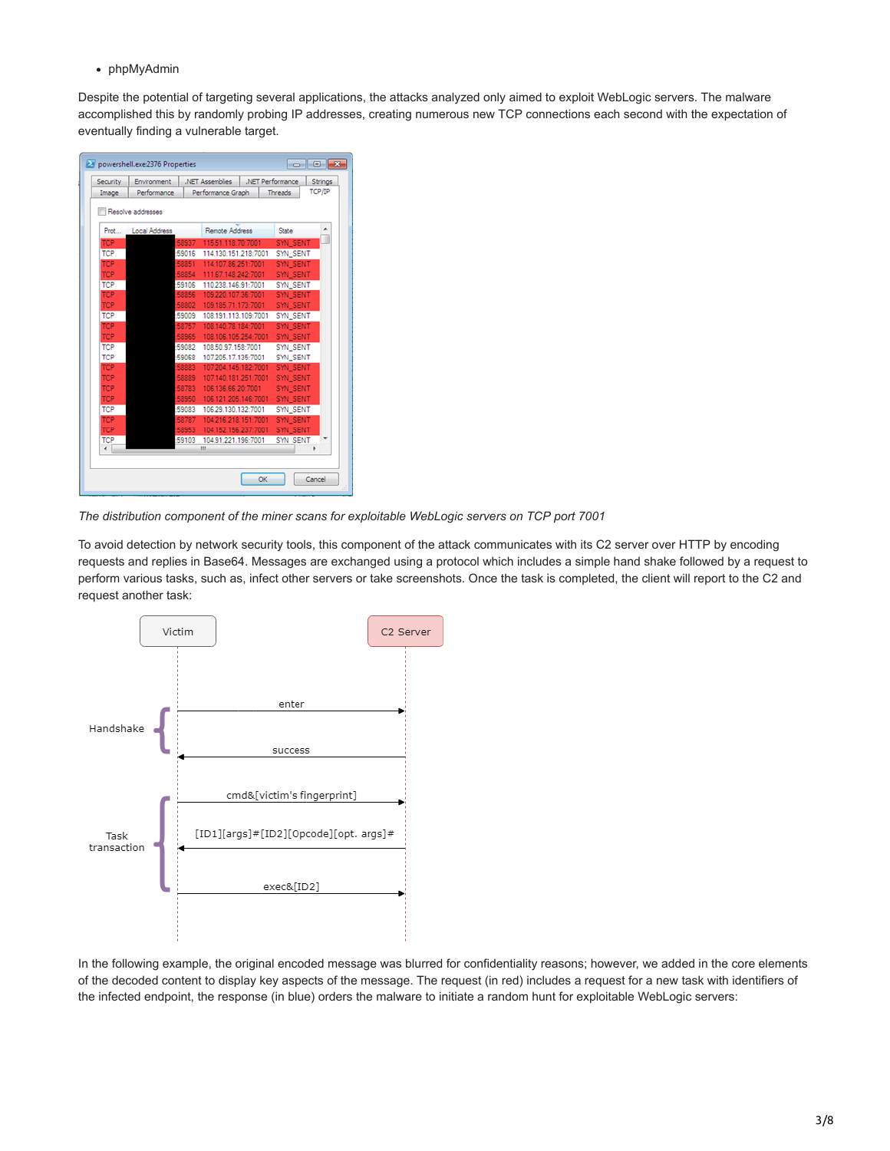phpMyAdmin

Despite the potential of targeting several applications, the attacks analyzed only aimed to exploit WebLogic servers. The malware accomplished this by randomly probing IP addresses, creating numerous new TCP connections each second with the expectation of eventually finding a vulnerable target.

| Security                 | Environment       | .NET Assemblies                             | .NET Performance |                             | Strings       |
|--------------------------|-------------------|---------------------------------------------|------------------|-----------------------------|---------------|
| Image                    | Performance       | Performance Graph                           |                  | Threads                     | <b>ТСР/IР</b> |
|                          | Resolve addresses |                                             |                  |                             |               |
| Prot                     | Local Address     | Remote Address                              |                  | State                       |               |
| <b>TCP</b>               | 58937             | 115.51.118.70:7001                          |                  | <b>SYN SENT</b>             |               |
| <b>TCP</b>               | 59016             | 114.130.151.218:7001                        |                  | SYN_SENT                    |               |
| <b>TCP</b>               | 58851             | 114.107.86.251:7001                         |                  | <b>SYN SENT</b>             |               |
| <b>TCP</b>               | 58854             | 111.67.148.242:7001                         |                  | SYN SENT                    |               |
| <b>TCP</b>               | 59106             | 110.238.146.91:7001                         |                  | SYN SENT                    |               |
| <b>TCP</b>               | 58856             | 109 220 107 36 7001                         |                  | <b>SYN SENT</b>             |               |
| <b>TCP</b>               | 58802             | 109.185.71.173:7001                         |                  | SYN SENT                    |               |
| <b>TCP</b>               | 59009             | 108.191.113.109:7001                        |                  | SYN_SENT                    |               |
| <b>TCP</b>               | 58757             | 108.140.78.184:7001                         |                  | <b>SYN SENT</b>             |               |
| <b>TCP</b>               | 58965             | 108.106.105.254:7001                        |                  | SYN SENT                    |               |
| <b>TCP</b><br><b>TCP</b> | 59082             | 108.50.97.158:7001                          |                  | SYN SENT                    |               |
| <b>TCP</b>               | 59068<br>58883    | 107.205.17.135:7001<br>107.204.145.182:7001 |                  | SYN_SENT<br><b>SYN SENT</b> |               |
| <b>TCP</b>               | 58889             | 107.140.181.251:7001                        |                  | SYN_SENT                    |               |
| <b>TCP</b>               | 58783             | 106.136.66.20:7001                          |                  | <b>SYN SENT</b>             |               |
| <b>TCP</b>               | 58950             | 106.121.205.146:7001                        |                  | <b>SYN SENT</b>             |               |
| <b>TCP</b>               | 59083             | 106.29.130.132:7001                         |                  | SYN_SENT                    |               |
| <b>TCP</b>               | 58787             | 104.216.218.151:7001                        |                  | SYN_SENT                    |               |
| <b>TCP</b>               | 58953             | 104.152.156.237:7001                        |                  | SYN SENT                    |               |
| <b>TCP</b>               | 59103             | 104.91.221.196:7001                         |                  | SYN SENT                    |               |
|                          |                   | Ш                                           |                  |                             | ٠             |
|                          |                   |                                             |                  |                             |               |
|                          |                   |                                             | OK               |                             | Cancel        |

*The distribution component of the miner scans for exploitable WebLogic servers on TCP port 7001*

To avoid detection by network security tools, this component of the attack communicates with its C2 server over HTTP by encoding requests and replies in Base64. Messages are exchanged using a protocol which includes a simple hand shake followed by a request to perform various tasks, such as, infect other servers or take screenshots. Once the task is completed, the client will report to the C2 and request another task:



In the following example, the original encoded message was blurred for confidentiality reasons; however, we added in the core elements of the decoded content to display key aspects of the message. The request (in red) includes a request for a new task with identifiers of the infected endpoint, the response (in blue) orders the malware to initiate a random hunt for exploitable WebLogic servers: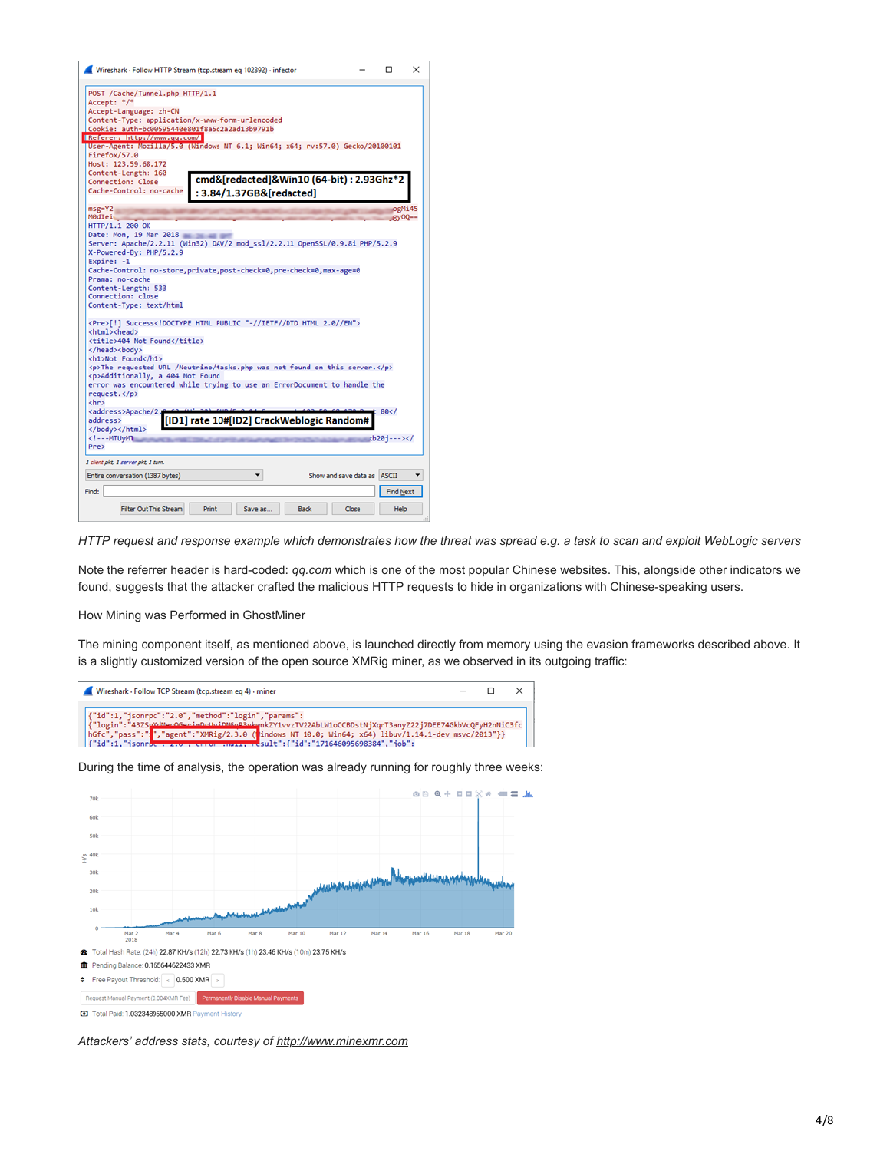

*HTTP request and response example which demonstrates how the threat was spread e.g. a task to scan and exploit WebLogic servers*

Note the referrer header is hard-coded: *qq.com* which is one of the most popular Chinese websites. This, alongside other indicators we found, suggests that the attacker crafted the malicious HTTP requests to hide in organizations with Chinese-speaking users.

How Mining was Performed in GhostMiner

The mining component itself, as mentioned above, is launched directly from memory using the evasion frameworks described above. It is a slightly customized version of the open source XMRig miner, as we observed in its outgoing traffic:



During the time of analysis, the operation was already running for roughly three weeks:



<sup>2</sup> Total Paid: 1.032348955000 XMR Paym

*Attackers' address stats, courtesy of [http://www.minexmr.com](http://www.minexmr.com/)*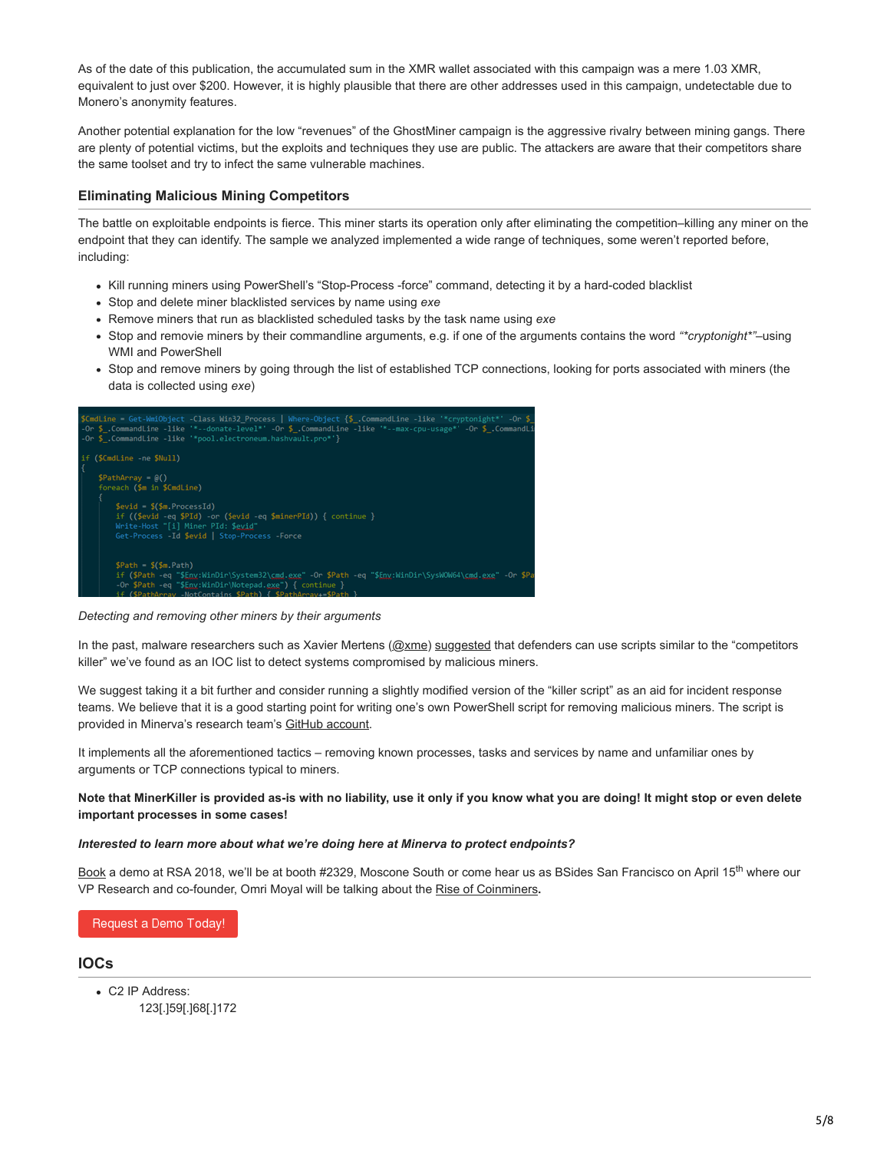As of the date of this publication, the accumulated sum in the XMR wallet associated with this campaign was a mere 1.03 XMR, equivalent to just over \$200. However, it is highly plausible that there are other addresses used in this campaign, undetectable due to Monero's anonymity features.

Another potential explanation for the low "revenues" of the GhostMiner campaign is the aggressive rivalry between mining gangs. There are plenty of potential victims, but the exploits and techniques they use are public. The attackers are aware that their competitors share the same toolset and try to infect the same vulnerable machines.

## **Eliminating Malicious Mining Competitors**

The battle on exploitable endpoints is fierce. This miner starts its operation only after eliminating the competition–killing any miner on the endpoint that they can identify. The sample we analyzed implemented a wide range of techniques, some weren't reported before, including:

- Kill running miners using PowerShell's "Stop-Process -force" command, detecting it by a hard-coded blacklist
- Stop and delete miner blacklisted services by name using *exe*
- Remove miners that run as blacklisted scheduled tasks by the task name using *exe*
- Stop and removie miners by their commandline arguments, e.g. if one of the arguments contains the word *"\*cryptonight\*"*–using WMI and PowerShell
- Stop and remove miners by going through the list of established TCP connections, looking for ports associated with miners (the data is collected using *exe*)



*Detecting and removing other miners by their arguments*

In the past, malware researchers such as Xavier Mertens ([@xme\)](https://twitter.com/xme) [suggested](https://isc.sans.edu/forums/diary/The+Crypto+Miners+Fight+For+CPU+Cycles/23407/) that defenders can use scripts similar to the "competitors killer" we've found as an IOC list to detect systems compromised by malicious miners.

We suggest taking it a bit further and consider running a slightly modified version of the "killer script" as an aid for incident response teams. We believe that it is a good starting point for writing one's own PowerShell script for removing malicious miners. The script is provided in Minerva's research team's [GitHub account.](https://github.com/MinervaLabsResearch/BlogPosts/tree/master/MinerKiller)

It implements all the aforementioned tactics – removing known processes, tasks and services by name and unfamiliar ones by arguments or TCP connections typical to miners.

**Note that MinerKiller is provided as-is with no liability, use it only if you know what you are doing! It might stop or even delete important processes in some cases!**

#### *Interested to learn more about what we're doing here at Minerva to protect endpoints?*

[Book](https://l.minerva-labs.com/schedule-a-meeting-with-minerva-labs-us-at-rsa-2018?hsLang=en-us) a demo at RSA 2018, we'll be at booth #2329, Moscone South or come hear us as BSides San Francisco on April 15<sup>th</sup> where our VP Research and co-founder, Omri Moyal will be talking about the [Rise of Coinminers](https://bsidessf2018.sched.com/event/E6ir)**.**

Request a Demo Today!

### **IOCs**

C2 IP Address: 123[.]59[.]68[.]172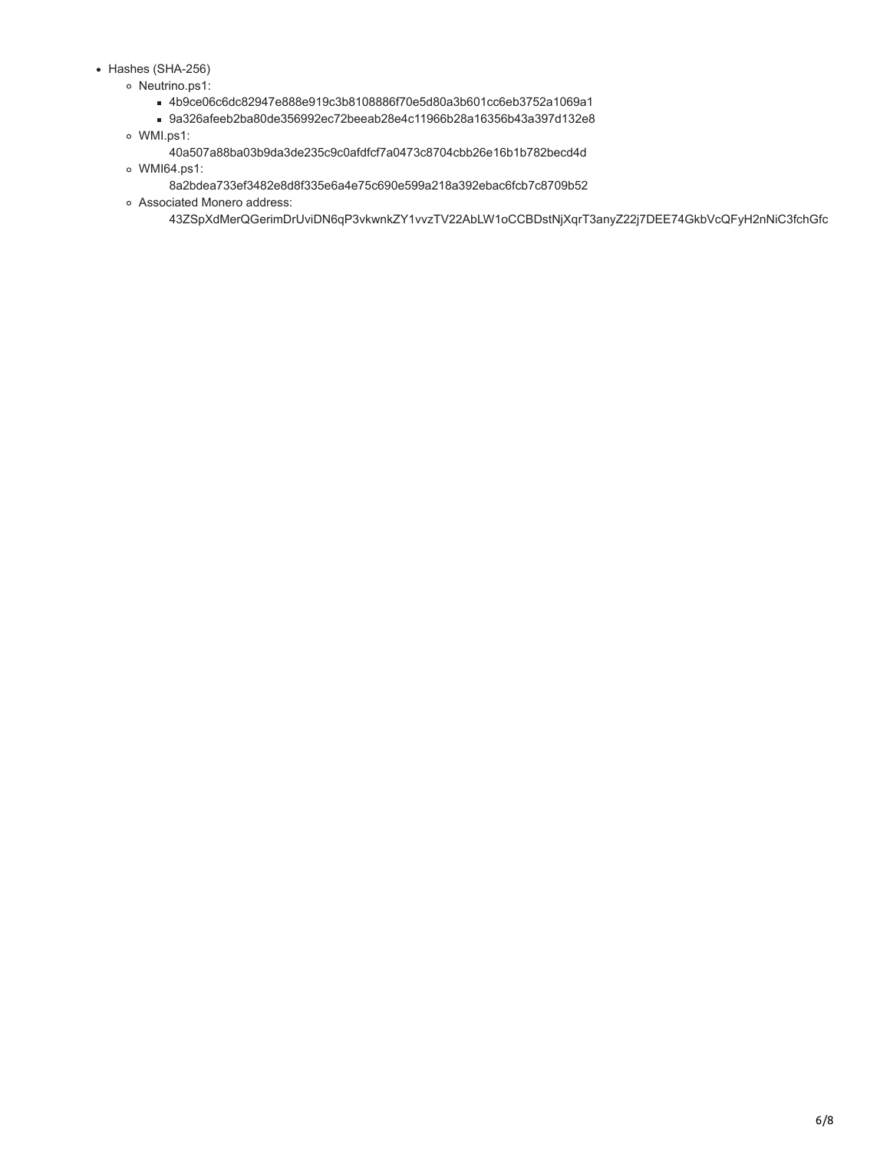- Hashes (SHA-256)
	- o Neutrino.ps1:
		- 4b9ce06c6dc82947e888e919c3b8108886f70e5d80a3b601cc6eb3752a1069a1
		- 9a326afeeb2ba80de356992ec72beeab28e4c11966b28a16356b43a397d132e8
	- WMI.ps1:
		- 40a507a88ba03b9da3de235c9c0afdfcf7a0473c8704cbb26e16b1b782becd4d
	- WMI64.ps1:
		- 8a2bdea733ef3482e8d8f335e6a4e75c690e599a218a392ebac6fcb7c8709b52
	- Associated Monero address:
		- 43ZSpXdMerQGerimDrUviDN6qP3vkwnkZY1vvzTV22AbLW1oCCBDstNjXqrT3anyZ22j7DEE74GkbVcQFyH2nNiC3fchGfc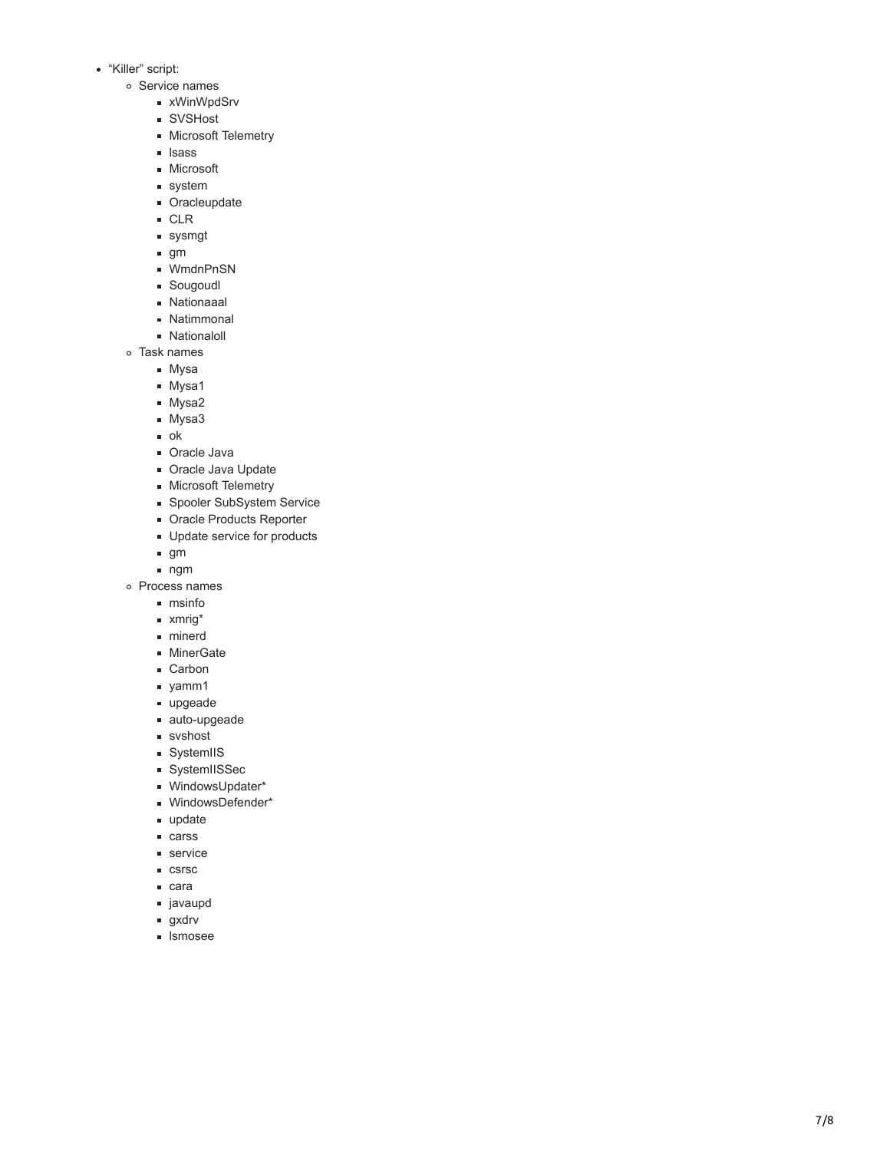- "Killer" script:
	- o Service names
		- **xWinWpdSrv**
		- SVSHost
		- **Microsoft Telemetry**
		- lsass
		- **Microsoft**
		- system
		- **Cracleupdate**
		- CLR
		- sysmgt
		- $g<sub>m</sub>$
		- WmdnPnSN
		- Sougoudl
		- Nationaaal
		- **Natimmonal**
		- **Nationaloll**
	- Task names
		- Mysa
		- **Mysa1**
		- **Mysa2**
		- **Mysa3**
		- ok
		- **Cracle Java**
		- Oracle Java Update
		- **Microsoft Telemetry**
		- Spooler SubSystem Service
		- **Dracle Products Reporter**
		- **Update service for products**
		- $g<sub>m</sub>$
		- ngm
	- Process names
		- msinfo
		- xmrig\*
		- minerd
		- **MinerGate**
		- Carbon
		- yamm1
		- upgeade
		- auto-upgeade
		- svshost
		- **SystemIIS**
		- SystemIISSec
		- WindowsUpdater\*
		- WindowsDefender\*
		- update
		- carss
		- **service**
		- csrsc
		- cara
		- javaupd
		- gxdrv
		- **I**smosee